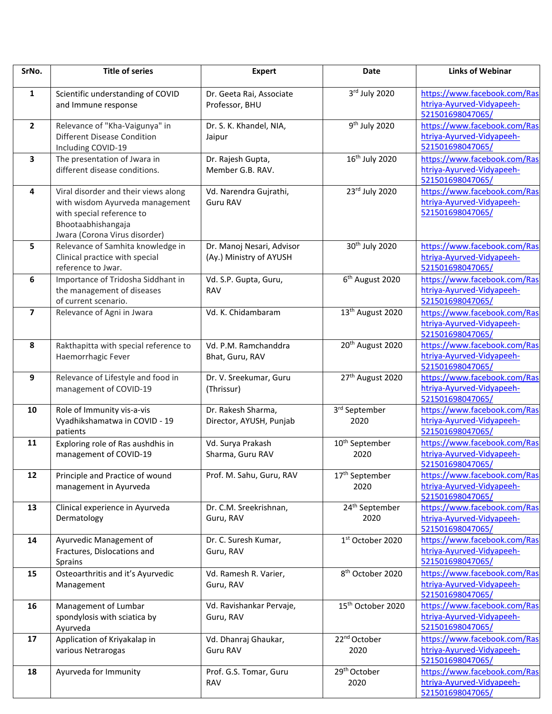| SrNo.          | <b>Title of series</b>                                                                                                                                      | <b>Expert</b>                                        | <b>Date</b>                        | <b>Links of Webinar</b>                                                       |
|----------------|-------------------------------------------------------------------------------------------------------------------------------------------------------------|------------------------------------------------------|------------------------------------|-------------------------------------------------------------------------------|
| $\mathbf{1}$   | Scientific understanding of COVID<br>and Immune response                                                                                                    | Dr. Geeta Rai, Associate<br>Professor, BHU           | 3rd July 2020                      | https://www.facebook.com/Ras<br>htriya-Ayurved-Vidyapeeh-<br>521501698047065/ |
| $\overline{2}$ | Relevance of "Kha-Vaigunya" in<br><b>Different Disease Condition</b><br>Including COVID-19                                                                  | Dr. S. K. Khandel, NIA,<br>Jaipur                    | 9 <sup>th</sup> July 2020          | https://www.facebook.com/Ras<br>htriya-Ayurved-Vidyapeeh-<br>521501698047065/ |
| 3              | The presentation of Jwara in<br>different disease conditions.                                                                                               | Dr. Rajesh Gupta,<br>Member G.B. RAV.                | 16 <sup>th</sup> July 2020         | https://www.facebook.com/Ras<br>htriya-Ayurved-Vidyapeeh-<br>521501698047065/ |
| 4              | Viral disorder and their views along<br>with wisdom Ayurveda management<br>with special reference to<br>Bhootaabhishangaja<br>Jwara (Corona Virus disorder) | Vd. Narendra Gujrathi,<br><b>Guru RAV</b>            | 23rd July 2020                     | https://www.facebook.com/Ras<br>htriya-Ayurved-Vidyapeeh-<br>521501698047065/ |
| 5              | Relevance of Samhita knowledge in<br>Clinical practice with special<br>reference to Jwar.                                                                   | Dr. Manoj Nesari, Advisor<br>(Ay.) Ministry of AYUSH | 30 <sup>th</sup> July 2020         | https://www.facebook.com/Ras<br>htriya-Ayurved-Vidyapeeh-<br>521501698047065/ |
| 6              | Importance of Tridosha Siddhant in<br>the management of diseases<br>of current scenario.                                                                    | Vd. S.P. Gupta, Guru,<br><b>RAV</b>                  | 6 <sup>th</sup> August 2020        | https://www.facebook.com/Ras<br>htriya-Ayurved-Vidyapeeh-<br>521501698047065/ |
| $\overline{7}$ | Relevance of Agni in Jwara                                                                                                                                  | Vd. K. Chidambaram                                   | 13 <sup>th</sup> August 2020       | https://www.facebook.com/Ras<br>htriya-Ayurved-Vidyapeeh-<br>521501698047065/ |
| 8              | Rakthapitta with special reference to<br>Haemorrhagic Fever                                                                                                 | Vd. P.M. Ramchanddra<br>Bhat, Guru, RAV              | 20 <sup>th</sup> August 2020       | https://www.facebook.com/Ras<br>htriya-Ayurved-Vidyapeeh-<br>521501698047065/ |
| 9              | Relevance of Lifestyle and food in<br>management of COVID-19                                                                                                | Dr. V. Sreekumar, Guru<br>(Thrissur)                 | 27th August 2020                   | https://www.facebook.com/Ras<br>htriya-Ayurved-Vidyapeeh-<br>521501698047065/ |
| 10             | Role of Immunity vis-a-vis<br>Vyadhikshamatwa in COVID - 19<br>patients                                                                                     | Dr. Rakesh Sharma,<br>Director, AYUSH, Punjab        | 3 <sup>rd</sup> September<br>2020  | https://www.facebook.com/Ras<br>htriya-Ayurved-Vidyapeeh-<br>521501698047065/ |
| 11             | Exploring role of Ras aushdhis in<br>management of COVID-19                                                                                                 | Vd. Surya Prakash<br>Sharma, Guru RAV                | 10 <sup>th</sup> September<br>2020 | https://www.facebook.com/Ras<br>htriya-Ayurved-Vidyapeeh-<br>521501698047065/ |
| 12             | Principle and Practice of wound<br>management in Ayurveda                                                                                                   | Prof. M. Sahu, Guru, RAV                             | 17 <sup>th</sup> September<br>2020 | https://www.facebook.com/Ras<br>htriya-Ayurved-Vidyapeeh-<br>521501698047065/ |
| 13             | Clinical experience in Ayurveda<br>Dermatology                                                                                                              | Dr. C.M. Sreekrishnan,<br>Guru, RAV                  | 24 <sup>th</sup> September<br>2020 | https://www.facebook.com/Ras<br>htriya-Ayurved-Vidyapeeh-<br>521501698047065/ |
| 14             | Ayurvedic Management of<br>Fractures, Dislocations and<br>Sprains                                                                                           | Dr. C. Suresh Kumar,<br>Guru, RAV                    | 1st October 2020                   | https://www.facebook.com/Ras<br>htriya-Ayurved-Vidyapeeh-<br>521501698047065/ |
| 15             | Osteoarthritis and it's Ayurvedic<br>Management                                                                                                             | Vd. Ramesh R. Varier,<br>Guru, RAV                   | 8 <sup>th</sup> October 2020       | https://www.facebook.com/Ras<br>htriya-Ayurved-Vidyapeeh-<br>521501698047065/ |
| 16             | Management of Lumbar<br>spondylosis with sciatica by<br>Ayurveda                                                                                            | Vd. Ravishankar Pervaje,<br>Guru, RAV                | 15 <sup>th</sup> October 2020      | https://www.facebook.com/Ras<br>htriya-Ayurved-Vidyapeeh-<br>521501698047065/ |
| 17             | Application of Kriyakalap in<br>various Netrarogas                                                                                                          | Vd. Dhanraj Ghaukar,<br>Guru RAV                     | 22 <sup>nd</sup> October<br>2020   | https://www.facebook.com/Ras<br>htriya-Ayurved-Vidyapeeh-<br>521501698047065/ |
| 18             | Ayurveda for Immunity                                                                                                                                       | Prof. G.S. Tomar, Guru<br><b>RAV</b>                 | 29 <sup>th</sup> October<br>2020   | https://www.facebook.com/Ras<br>htriya-Ayurved-Vidyapeeh-<br>521501698047065/ |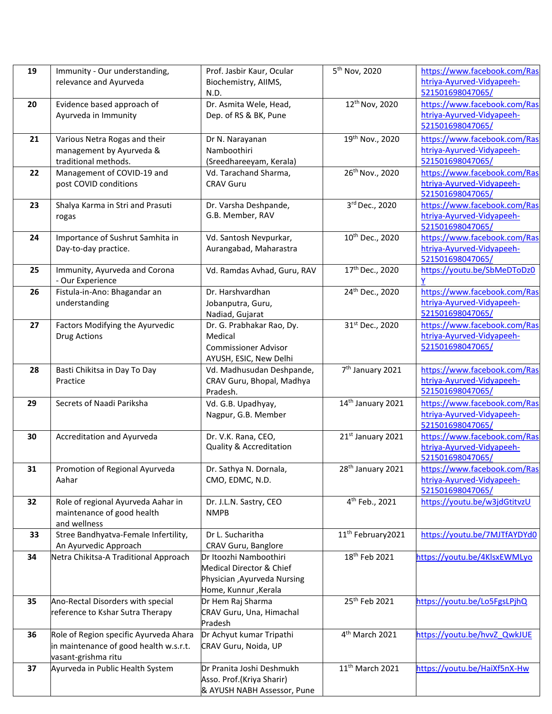| 19 | Immunity - Our understanding,          | Prof. Jasbir Kaur, Ocular                    | 5 <sup>th</sup> Nov, 2020      | https://www.facebook.com/Ras |
|----|----------------------------------------|----------------------------------------------|--------------------------------|------------------------------|
|    | relevance and Ayurveda                 | Biochemistry, AIIMS,                         |                                | htriya-Ayurved-Vidyapeeh-    |
|    |                                        | N.D.                                         |                                | 521501698047065/             |
| 20 | Evidence based approach of             | Dr. Asmita Wele, Head,                       | 12 <sup>th</sup> Nov, 2020     | https://www.facebook.com/Ras |
|    | Ayurveda in Immunity                   | Dep. of RS & BK, Pune                        |                                | htriya-Ayurved-Vidyapeeh-    |
|    |                                        |                                              |                                | 521501698047065/             |
| 21 | Various Netra Rogas and their          | Dr N. Narayanan                              | 19th Nov., 2020                | https://www.facebook.com/Ras |
|    | management by Ayurveda &               | Namboothiri                                  |                                | htriya-Ayurved-Vidyapeeh-    |
|    | traditional methods.                   | (Sreedhareeyam, Kerala)                      |                                | 521501698047065/             |
| 22 | Management of COVID-19 and             | Vd. Tarachand Sharma,                        | 26 <sup>th</sup> Nov., 2020    | https://www.facebook.com/Ras |
|    | post COVID conditions                  | <b>CRAV Guru</b>                             |                                | htriya-Ayurved-Vidyapeeh-    |
|    |                                        |                                              |                                | 521501698047065/             |
| 23 | Shalya Karma in Stri and Prasuti       | Dr. Varsha Deshpande,                        | 3rd Dec., 2020                 | https://www.facebook.com/Ras |
|    | rogas                                  | G.B. Member, RAV                             |                                | htriya-Ayurved-Vidyapeeh-    |
|    |                                        |                                              |                                | 521501698047065/             |
| 24 | Importance of Sushrut Samhita in       | Vd. Santosh Nevpurkar,                       | 10 <sup>th</sup> Dec., 2020    | https://www.facebook.com/Ras |
|    | Day-to-day practice.                   | Aurangabad, Maharastra                       |                                | htriya-Ayurved-Vidyapeeh-    |
|    |                                        |                                              |                                | 521501698047065/             |
| 25 | Immunity, Ayurveda and Corona          | Vd. Ramdas Avhad, Guru, RAV                  | 17th Dec., 2020                | https://youtu.be/SbMeDToDz0  |
|    | - Our Experience                       | Dr. Harshvardhan                             |                                | https://www.facebook.com/Ras |
| 26 | Fistula-in-Ano: Bhagandar an           |                                              | 24th Dec., 2020                | htriya-Ayurved-Vidyapeeh-    |
|    | understanding                          | Jobanputra, Guru,                            |                                | 521501698047065/             |
| 27 | Factors Modifying the Ayurvedic        | Nadiad, Gujarat<br>Dr. G. Prabhakar Rao, Dy. | 31st Dec., 2020                | https://www.facebook.com/Ras |
|    | <b>Drug Actions</b>                    | Medical                                      |                                | htriya-Ayurved-Vidyapeeh-    |
|    |                                        | <b>Commissioner Advisor</b>                  |                                | 521501698047065/             |
|    |                                        | AYUSH, ESIC, New Delhi                       |                                |                              |
| 28 | Basti Chikitsa in Day To Day           | Vd. Madhusudan Deshpande,                    | 7 <sup>th</sup> January 2021   | https://www.facebook.com/Ras |
|    | Practice                               | CRAV Guru, Bhopal, Madhya                    |                                | htriya-Ayurved-Vidyapeeh-    |
|    |                                        | Pradesh.                                     |                                | 521501698047065/             |
| 29 | Secrets of Naadi Pariksha              | Vd. G.B. Upadhyay,                           | 14th January 2021              | https://www.facebook.com/Ras |
|    |                                        | Nagpur, G.B. Member                          |                                | htriya-Ayurved-Vidyapeeh-    |
|    |                                        |                                              |                                | 521501698047065/             |
| 30 | Accreditation and Ayurveda             | Dr. V.K. Rana, CEO,                          | 21st January 2021              | https://www.facebook.com/Ras |
|    |                                        | <b>Quality &amp; Accreditation</b>           |                                | htriya-Ayurved-Vidyapeeh-    |
|    |                                        |                                              |                                | 521501698047065/             |
| 31 | Promotion of Regional Ayurveda         | Dr. Sathya N. Dornala,                       | 28 <sup>th</sup> January 2021  | https://www.facebook.com/Ras |
|    | Aahar                                  | CMO, EDMC, N.D.                              |                                | htriya-Ayurved-Vidyapeeh-    |
|    |                                        |                                              |                                | 521501698047065/             |
| 32 | Role of regional Ayurveda Aahar in     | Dr. J.L.N. Sastry, CEO                       | 4 <sup>th</sup> Feb., 2021     | https://youtu.be/w3jdGtitvzU |
|    | maintenance of good health             | <b>NMPB</b>                                  |                                |                              |
|    | and wellness                           |                                              |                                |                              |
| 33 | Stree Bandhyatva-Female Infertility,   | Dr L. Sucharitha                             | 11 <sup>th</sup> February 2021 | https://youtu.be/7MJTfAYDYd0 |
|    | An Ayurvedic Approach                  | CRAV Guru, Banglore                          |                                |                              |
| 34 | Netra Chikitsa-A Traditional Approach  | Dr Itoozhi Namboothiri                       | 18 <sup>th</sup> Feb 2021      | https://youtu.be/4KlsxEWMLyo |
|    |                                        | Medical Director & Chief                     |                                |                              |
|    |                                        | Physician , Ayurveda Nursing                 |                                |                              |
|    |                                        | Home, Kunnur, Kerala                         |                                |                              |
| 35 | Ano-Rectal Disorders with special      | Dr Hem Raj Sharma                            | 25 <sup>th</sup> Feb 2021      | https://youtu.be/Lo5FgsLPjhQ |
|    | reference to Kshar Sutra Therapy       | CRAV Guru, Una, Himachal                     |                                |                              |
|    |                                        | Pradesh                                      |                                |                              |
| 36 | Role of Region specific Ayurveda Ahara | Dr Achyut kumar Tripathi                     | 4 <sup>th</sup> March 2021     | https://youtu.be/hvvZ_QwkJUE |
|    | in maintenance of good health w.s.r.t. | CRAV Guru, Noida, UP                         |                                |                              |
|    | vasant-grishma ritu                    |                                              |                                |                              |
| 37 | Ayurveda in Public Health System       | Dr Pranita Joshi Deshmukh                    | 11 <sup>th</sup> March 2021    | https://youtu.be/HaiXf5nX-Hw |
|    |                                        | Asso. Prof.(Kriya Sharir)                    |                                |                              |
|    |                                        | & AYUSH NABH Assessor, Pune                  |                                |                              |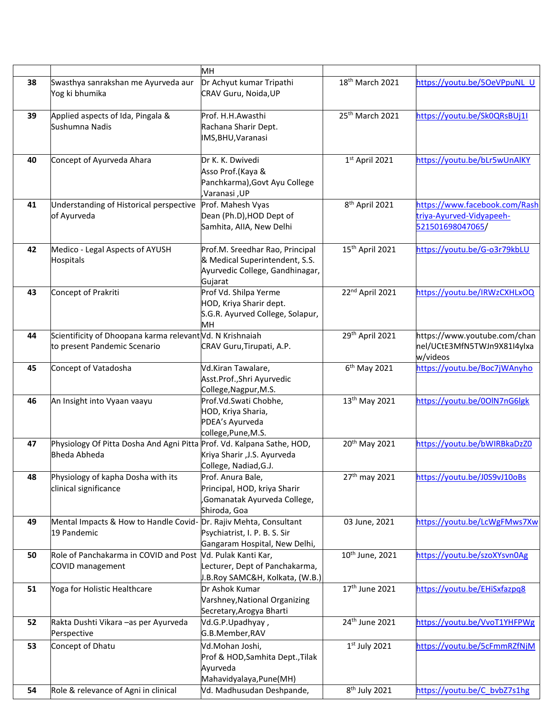|    |                                                                                               | MH                                                                                                              |                             |                                                                               |
|----|-----------------------------------------------------------------------------------------------|-----------------------------------------------------------------------------------------------------------------|-----------------------------|-------------------------------------------------------------------------------|
| 38 | Swasthya sanrakshan me Ayurveda aur<br>Yog ki bhumika                                         | Dr Achyut kumar Tripathi<br>CRAV Guru, Noida, UP                                                                | 18 <sup>th</sup> March 2021 | https://youtu.be/50eVPpuNL U                                                  |
| 39 | Applied aspects of Ida, Pingala &<br>Sushumna Nadis                                           | Prof. H.H.Awasthi<br>Rachana Sharir Dept.<br>IMS, BHU, Varanasi                                                 | 25th March 2021             | https://youtu.be/Sk0QRsBUj1I                                                  |
| 40 | Concept of Ayurveda Ahara                                                                     | Dr K. K. Dwivedi<br>Asso Prof.(Kaya &<br>Panchkarma), Govt Ayu College<br>UP, Varanasi,                         | 1st April 2021              | https://youtu.be/bLr5wUnAlKY                                                  |
| 41 | Understanding of Historical perspective<br>of Ayurveda                                        | Prof. Mahesh Vyas<br>Dean (Ph.D), HOD Dept of<br>Samhita, AIIA, New Delhi                                       | 8 <sup>th</sup> April 2021  | https://www.facebook.com/Rash<br>triya-Ayurved-Vidyapeeh-<br>521501698047065/ |
| 42 | Medico - Legal Aspects of AYUSH<br>Hospitals                                                  | Prof.M. Sreedhar Rao, Principal<br>& Medical Superintendent, S.S.<br>Ayurvedic College, Gandhinagar,<br>Gujarat | 15 <sup>th</sup> April 2021 | https://youtu.be/G-o3r79kbLU                                                  |
| 43 | Concept of Prakriti                                                                           | Prof Vd. Shilpa Yerme<br>HOD, Kriya Sharir dept.<br>S.G.R. Ayurved College, Solapur,<br>MH                      | 22nd April 2021             | https://youtu.be/IRWzCXHLxOQ                                                  |
| 44 | Scientificity of Dhoopana karma relevant Vd. N Krishnaiah<br>to present Pandemic Scenario     | CRAV Guru, Tirupati, A.P.                                                                                       | 29th April 2021             | https://www.youtube.com/chan<br>nel/UCtE3MfN5TWJn9X81I4ylxa<br>w/videos       |
| 45 | Concept of Vatadosha                                                                          | Vd.Kiran Tawalare,<br>Asst.Prof.,Shri Ayurvedic<br>College, Nagpur, M.S.                                        | $6th$ May 2021              | https://youtu.be/Boc7jWAnyho                                                  |
| 46 | An Insight into Vyaan vaayu                                                                   | Prof.Vd.Swati Chobhe,<br>HOD, Kriya Sharia,<br>PDEA's Ayurveda<br>college, Pune, M.S.                           | 13 <sup>th</sup> May 2021   | https://youtu.be/00IN7nG6lgk                                                  |
| 47 | Physiology Of Pitta Dosha And Agni Pitta Prof. Vd. Kalpana Sathe, HOD,<br><b>Bheda Abheda</b> | Kriya Sharir , J.S. Ayurveda<br>College, Nadiad, G.J.                                                           | 20 <sup>th</sup> May 2021   | https://youtu.be/bWIRBkaDzZ0                                                  |
| 48 | Physiology of kapha Dosha with its<br>clinical significance                                   | Prof. Anura Bale,<br>Principal, HOD, kriya Sharir<br>Gomanatak Ayurveda College,<br>Shiroda, Goa                | 27 <sup>th</sup> may 2021   | https://youtu.be/J0S9vJ10oBs                                                  |
| 49 | Mental Impacts & How to Handle Covid-<br>19 Pandemic                                          | Dr. Rajiv Mehta, Consultant<br>Psychiatrist, I. P. B. S. Sir<br>Gangaram Hospital, New Delhi,                   | 03 June, 2021               | https://youtu.be/LcWgFMws7Xw                                                  |
| 50 | Role of Panchakarma in COVID and Post<br>COVID management                                     | Vd. Pulak Kanti Kar,<br>Lecturer, Dept of Panchakarma,<br>J.B.Roy SAMC&H, Kolkata, (W.B.)                       | 10 <sup>th</sup> June, 2021 | https://youtu.be/szoXYsvn0Ag                                                  |
| 51 | Yoga for Holistic Healthcare                                                                  | Dr Ashok Kumar<br>Varshney, National Organizing<br>Secretary, Arogya Bharti                                     | 17 <sup>th</sup> June 2021  | https://youtu.be/EHiSxfazpq8                                                  |
| 52 | Rakta Dushti Vikara - as per Ayurveda<br>Perspective                                          | Vd.G.P.Upadhyay,<br>G.B.Member, RAV                                                                             | 24th June 2021              | https://youtu.be/VvoT1YHFPWg                                                  |
| 53 | Concept of Dhatu                                                                              | Vd.Mohan Joshi,<br>Prof & HOD, Samhita Dept., Tilak<br>Ayurveda<br>Mahavidyalaya, Pune(MH)                      | $1st$ July 2021             | https://youtu.be/5cFmmRZfNjM                                                  |
| 54 | Role & relevance of Agni in clinical                                                          | Vd. Madhusudan Deshpande,                                                                                       | 8 <sup>th</sup> July 2021   | https://youtu.be/C bvbZ7s1hg                                                  |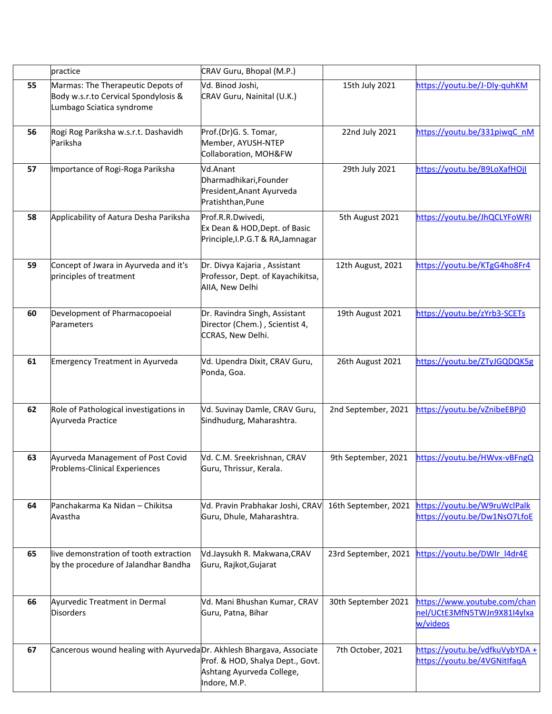|    | practice                                                                                               | CRAV Guru, Bhopal (M.P.)                                                                |                      |                                                                         |
|----|--------------------------------------------------------------------------------------------------------|-----------------------------------------------------------------------------------------|----------------------|-------------------------------------------------------------------------|
| 55 | Marmas: The Therapeutic Depots of<br>Body w.s.r.to Cervical Spondylosis &<br>Lumbago Sciatica syndrome | Vd. Binod Joshi,<br>CRAV Guru, Nainital (U.K.)                                          | 15th July 2021       | https://youtu.be/J-Dly-quhKM                                            |
| 56 | Rogi Rog Pariksha w.s.r.t. Dashavidh<br>Pariksha                                                       | Prof.(Dr)G. S. Tomar,<br>Member, AYUSH-NTEP<br>Collaboration, MOH&FW                    | 22nd July 2021       | https://youtu.be/331piwqCnM                                             |
| 57 | Importance of Rogi-Roga Pariksha                                                                       | Vd.Anant<br>Dharmadhikari, Founder<br>President, Anant Ayurveda<br>Pratishthan, Pune    | 29th July 2021       | https://youtu.be/B9LoXafHOjI                                            |
| 58 | Applicability of Aatura Desha Pariksha                                                                 | Prof.R.R.Dwivedi,<br>Ex Dean & HOD, Dept. of Basic<br>Principle, I.P.G.T & RA, Jamnagar | 5th August 2021      | https://youtu.be/JhQCLYFoWRI                                            |
| 59 | Concept of Jwara in Ayurveda and it's<br>principles of treatment                                       | Dr. Divya Kajaria, Assistant<br>Professor, Dept. of Kayachikitsa,<br>AllA, New Delhi    | 12th August, 2021    | https://youtu.be/KTgG4ho8Fr4                                            |
| 60 | Development of Pharmacopoeial<br>Parameters                                                            | Dr. Ravindra Singh, Assistant<br>Director (Chem.), Scientist 4,<br>CCRAS, New Delhi.    | 19th August 2021     | https://youtu.be/zYrb3-SCETs                                            |
| 61 | Emergency Treatment in Ayurveda                                                                        | Vd. Upendra Dixit, CRAV Guru,<br>Ponda, Goa.                                            | 26th August 2021     | https://youtu.be/ZTyJGQDQK5g                                            |
| 62 | Role of Pathological investigations in<br>Ayurveda Practice                                            | Vd. Suvinay Damle, CRAV Guru,<br>Sindhudurg, Maharashtra.                               | 2nd September, 2021  | https://youtu.be/vZnibeEBPj0                                            |
| 63 | Ayurveda Management of Post Covid<br>Problems-Clinical Experiences                                     | Vd. C.M. Sreekrishnan, CRAV<br>Guru, Thrissur, Kerala.                                  | 9th September, 2021  | https://youtu.be/HWvx-vBFngQ                                            |
| 64 | Panchakarma Ka Nidan - Chikitsa<br>Avastha                                                             | Vd. Pravin Prabhakar Joshi, CRAV<br>Guru, Dhule, Maharashtra.                           | 16th September, 2021 | https://youtu.be/W9ruWclPalk<br>https://youtu.be/Dw1NsO7LfoE            |
| 65 | live demonstration of tooth extraction<br>by the procedure of Jalandhar Bandha                         | Vd.Jaysukh R. Makwana, CRAV<br>Guru, Rajkot, Gujarat                                    | 23rd September, 2021 | https://youtu.be/DWIr l4dr4E                                            |
| 66 | Ayurvedic Treatment in Dermal<br><b>Disorders</b>                                                      | Vd. Mani Bhushan Kumar, CRAV<br>Guru, Patna, Bihar                                      | 30th September 2021  | https://www.youtube.com/chan<br>nel/UCtE3MfN5TWJn9X81I4ylxa<br>w/videos |
| 67 | Cancerous wound healing with Ayurveda Dr. Akhlesh Bhargava, Associate                                  | Prof. & HOD, Shalya Dept., Govt.<br>Ashtang Ayurveda College,<br>Indore, M.P.           | 7th October, 2021    | https://youtu.be/vdfkuVybYDA +<br>https://youtu.be/4VGNitIfaqA          |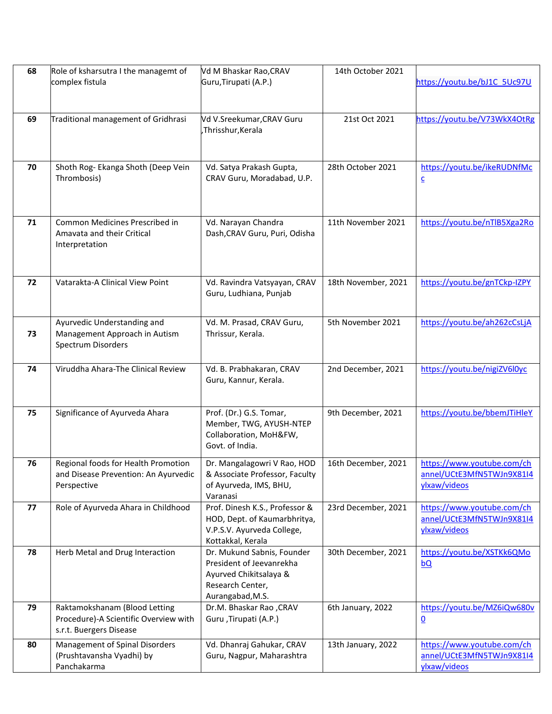| 68 | Role of ksharsutra I the managemt of                                                              | Vd M Bhaskar Rao, CRAV                                                                                                   | 14th October 2021   |                                                                         |
|----|---------------------------------------------------------------------------------------------------|--------------------------------------------------------------------------------------------------------------------------|---------------------|-------------------------------------------------------------------------|
|    | complex fistula                                                                                   | Guru, Tirupati (A.P.)                                                                                                    |                     | https://youtu.be/bJ1C 5Uc97U                                            |
|    |                                                                                                   |                                                                                                                          |                     |                                                                         |
| 69 | Traditional management of Gridhrasi                                                               | Vd V.Sreekumar, CRAV Guru<br>Thrisshur, Kerala                                                                           | 21st Oct 2021       | https://youtu.be/V73WkX4OtRg                                            |
|    |                                                                                                   |                                                                                                                          |                     |                                                                         |
| 70 | Shoth Rog- Ekanga Shoth (Deep Vein<br>Thrombosis)                                                 | Vd. Satya Prakash Gupta,<br>CRAV Guru, Moradabad, U.P.                                                                   | 28th October 2021   | https://youtu.be/ikeRUDNfMc<br>$\underline{\mathsf{c}}$                 |
| 71 | Common Medicines Prescribed in<br>Amavata and their Critical<br>Interpretation                    | Vd. Narayan Chandra<br>Dash, CRAV Guru, Puri, Odisha                                                                     | 11th November 2021  | https://youtu.be/nTlB5Xga2Ro                                            |
| 72 | Vatarakta-A Clinical View Point                                                                   | Vd. Ravindra Vatsyayan, CRAV<br>Guru, Ludhiana, Punjab                                                                   | 18th November, 2021 | https://youtu.be/gnTCkp-IZPY                                            |
| 73 | Ayurvedic Understanding and<br>Management Approach in Autism<br>Spectrum Disorders                | Vd. M. Prasad, CRAV Guru,<br>Thrissur, Kerala.                                                                           | 5th November 2021   | https://youtu.be/ah262cCsLjA                                            |
| 74 | Viruddha Ahara-The Clinical Review                                                                | Vd. B. Prabhakaran, CRAV<br>Guru, Kannur, Kerala.                                                                        | 2nd December, 2021  | https://youtu.be/nigiZV6l0yc                                            |
| 75 | Significance of Ayurveda Ahara                                                                    | Prof. (Dr.) G.S. Tomar,<br>Member, TWG, AYUSH-NTEP<br>Collaboration, MoH&FW,<br>Govt. of India.                          | 9th December, 2021  | https://youtu.be/bbemJTiHleY                                            |
| 76 | Regional foods for Health Promotion<br>and Disease Prevention: An Ayurvedic<br>Perspective        | Dr. Mangalagowri V Rao, HOD<br>& Associate Professor, Faculty<br>of Ayurveda, IMS, BHU,<br>Varanasi                      | 16th December, 2021 | https://www.youtube.com/ch<br>annel/UCtE3MfN5TWJn9X81I4<br>ylxaw/videos |
| 77 | Role of Ayurveda Ahara in Childhood                                                               | Prof. Dinesh K.S., Professor &<br>HOD, Dept. of Kaumarbhritya,<br>V.P.S.V. Ayurveda College,<br>Kottakkal, Kerala        | 23rd December, 2021 | https://www.youtube.com/ch<br>annel/UCtE3MfN5TWJn9X81I4<br>ylxaw/videos |
| 78 | Herb Metal and Drug Interaction                                                                   | Dr. Mukund Sabnis, Founder<br>President of Jeevanrekha<br>Ayurved Chikitsalaya &<br>Research Center,<br>Aurangabad, M.S. | 30th December, 2021 | https://youtu.be/XSTKk6QMo<br>bQ                                        |
| 79 | Raktamokshanam (Blood Letting<br>Procedure)-A Scientific Overview with<br>s.r.t. Buergers Disease | Dr.M. Bhaskar Rao, CRAV<br>Guru , Tirupati (A.P.)                                                                        | 6th January, 2022   | https://youtu.be/MZ6iQw680v<br>$\underline{\mathbf{0}}$                 |
| 80 | Management of Spinal Disorders<br>(Prushtavansha Vyadhi) by<br>Panchakarma                        | Vd. Dhanraj Gahukar, CRAV<br>Guru, Nagpur, Maharashtra                                                                   | 13th January, 2022  | https://www.youtube.com/ch<br>annel/UCtE3MfN5TWJn9X81I4<br>ylxaw/videos |